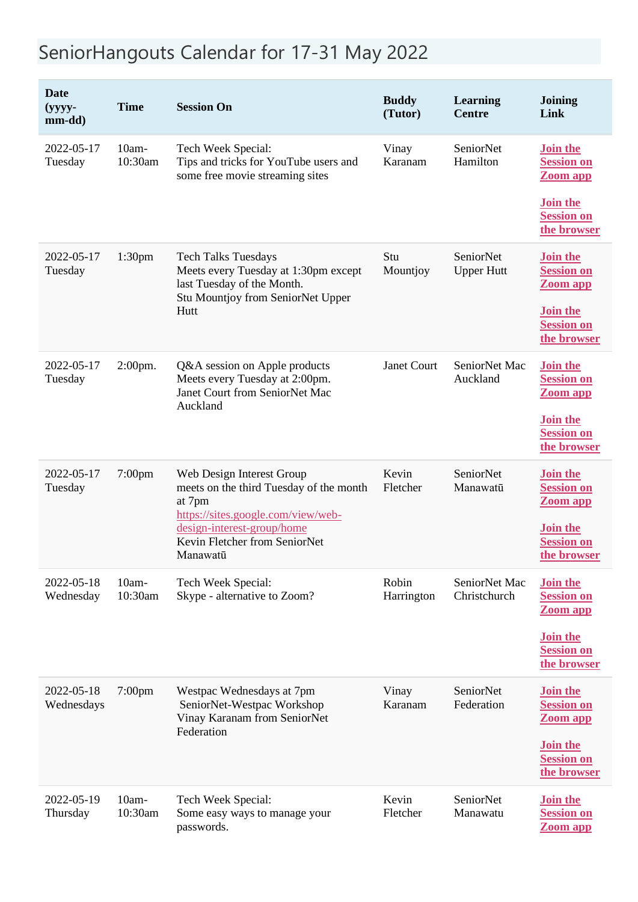## SeniorHangouts Calendar for 17-31 May 2022

| <b>Date</b><br>$(yyyy -$<br>mm-dd) | <b>Time</b>         | <b>Session On</b>                                                                                                                                                                               | <b>Buddy</b><br>(Tutor) | <b>Learning</b><br><b>Centre</b> | <b>Joining</b><br>Link                                  |
|------------------------------------|---------------------|-------------------------------------------------------------------------------------------------------------------------------------------------------------------------------------------------|-------------------------|----------------------------------|---------------------------------------------------------|
| 2022-05-17<br>Tuesday              | $10am-$<br>10:30am  | Tech Week Special:<br>Tips and tricks for YouTube users and<br>some free movie streaming sites                                                                                                  | Vinay<br>Karanam        | SeniorNet<br>Hamilton            | <b>Join the</b><br><b>Session on</b><br><b>Zoom app</b> |
|                                    |                     |                                                                                                                                                                                                 |                         |                                  | <b>Join the</b><br><b>Session on</b><br>the browser     |
| 2022-05-17<br>Tuesday              | 1:30 <sub>pm</sub>  | <b>Tech Talks Tuesdays</b><br>Meets every Tuesday at 1:30pm except<br>last Tuesday of the Month.<br>Stu Mountjoy from SeniorNet Upper<br>Hutt                                                   | Stu<br>Mountjoy         | SeniorNet<br><b>Upper Hutt</b>   | <b>Join the</b><br><b>Session on</b><br>Zoom app        |
|                                    |                     |                                                                                                                                                                                                 |                         |                                  | Join the<br><b>Session on</b><br>the browser            |
| 2022-05-17<br>Tuesday              | 2:00pm.             | Q&A session on Apple products<br>Meets every Tuesday at 2:00pm.<br>Janet Court from SeniorNet Mac<br>Auckland                                                                                   | Janet Court             | SeniorNet Mac<br>Auckland        | Join the<br><b>Session on</b><br><b>Zoom app</b>        |
|                                    |                     |                                                                                                                                                                                                 |                         |                                  | <b>Join the</b><br><b>Session on</b><br>the browser     |
| 2022-05-17<br>Tuesday              | 7:00pm              | Web Design Interest Group<br>meets on the third Tuesday of the month<br>at 7pm<br>https://sites.google.com/view/web-<br>design-interest-group/home<br>Kevin Fletcher from SeniorNet<br>Manawatū | Kevin<br>Fletcher       | SeniorNet<br>Manawatū            | <b>Join the</b><br><b>Session on</b><br>Zoom app        |
|                                    |                     |                                                                                                                                                                                                 |                         |                                  | Join the<br><b>Session on</b><br>the browser            |
| 2022-05-18<br>Wednesday            | $10am -$<br>10:30am | Tech Week Special:<br>Skype - alternative to Zoom?                                                                                                                                              | Robin<br>Harrington     | SeniorNet Mac<br>Christchurch    | <b>Join the</b><br><b>Session on</b><br><b>Zoom app</b> |
|                                    |                     |                                                                                                                                                                                                 |                         |                                  | <b>Join the</b><br><b>Session on</b><br>the browser     |
| 2022-05-18<br>Wednesdays           | $7:00$ pm           | Westpac Wednesdays at 7pm<br>SeniorNet-Westpac Workshop<br>Vinay Karanam from SeniorNet<br>Federation                                                                                           | Vinay<br>Karanam        | SeniorNet<br>Federation          | <b>Join the</b><br><b>Session on</b><br><b>Zoom app</b> |
|                                    |                     |                                                                                                                                                                                                 |                         |                                  | <b>Join the</b><br><b>Session on</b><br>the browser     |
| 2022-05-19<br>Thursday             | $10am-$<br>10:30am  | Tech Week Special:<br>Some easy ways to manage your<br>passwords.                                                                                                                               | Kevin<br>Fletcher       | SeniorNet<br>Manawatu            | <b>Join the</b><br><b>Session on</b><br><b>Zoom app</b> |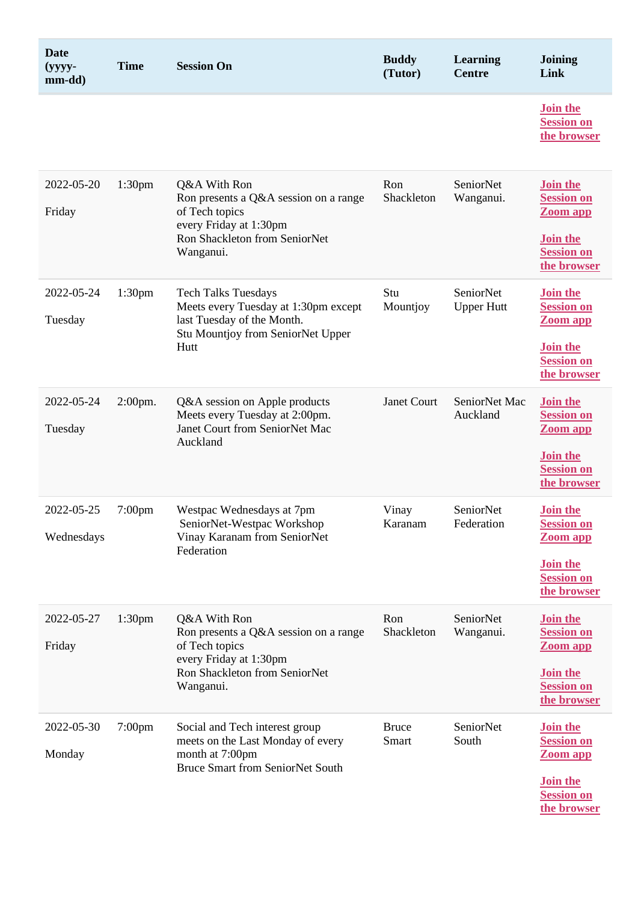| <b>Date</b><br>$(yyyy -$<br>mm-dd) | <b>Time</b>        | <b>Session On</b>                                                                                                                               | <b>Buddy</b><br>(Tutor) | Learning<br><b>Centre</b>      | <b>Joining</b><br>Link                                                                                         |
|------------------------------------|--------------------|-------------------------------------------------------------------------------------------------------------------------------------------------|-------------------------|--------------------------------|----------------------------------------------------------------------------------------------------------------|
|                                    |                    |                                                                                                                                                 |                         |                                | Join the<br><b>Session on</b><br>the browser                                                                   |
| 2022-05-20<br>Friday               | 1:30 <sub>pm</sub> | Q&A With Ron<br>Ron presents a Q&A session on a range<br>of Tech topics<br>every Friday at 1:30pm<br>Ron Shackleton from SeniorNet<br>Wanganui. | Ron<br>Shackleton       | SeniorNet<br>Wanganui.         | <b>Join the</b><br><b>Session on</b><br><b>Zoom app</b><br><b>Join the</b><br><b>Session on</b><br>the browser |
| 2022-05-24<br>Tuesday              | 1:30 <sub>pm</sub> | <b>Tech Talks Tuesdays</b><br>Meets every Tuesday at 1:30pm except<br>last Tuesday of the Month.<br>Stu Mountjoy from SeniorNet Upper<br>Hutt   | Stu<br>Mountjoy         | SeniorNet<br><b>Upper Hutt</b> | <b>Join the</b><br><b>Session on</b><br><b>Zoom app</b><br><b>Join the</b><br><b>Session on</b><br>the browser |
| 2022-05-24<br>Tuesday              | 2:00pm.            | Q&A session on Apple products<br>Meets every Tuesday at 2:00pm.<br>Janet Court from SeniorNet Mac<br>Auckland                                   | Janet Court             | SeniorNet Mac<br>Auckland      | Join the<br><b>Session on</b><br><b>Zoom app</b><br><b>Join the</b><br><b>Session on</b><br>the browser        |
| 2022-05-25<br>Wednesdays           | $7:00$ pm          | Westpac Wednesdays at 7pm<br>SeniorNet-Westpac Workshop<br>Vinay Karanam from SeniorNet<br>Federation                                           | Vinay<br>Karanam        | SeniorNet<br>Federation        | <b>Join the</b><br><b>Session on</b><br>Zoom app<br><b>Join the</b><br><b>Session on</b><br>the browser        |
| 2022-05-27<br>Friday               | 1:30 <sub>pm</sub> | Q&A With Ron<br>Ron presents a Q&A session on a range<br>of Tech topics<br>every Friday at 1:30pm<br>Ron Shackleton from SeniorNet<br>Wanganui. | Ron<br>Shackleton       | SeniorNet<br>Wanganui.         | <b>Join the</b><br><b>Session on</b><br><b>Zoom app</b><br><b>Join the</b><br><b>Session on</b><br>the browser |
| 2022-05-30<br>Monday               | $7:00$ pm          | Social and Tech interest group<br>meets on the Last Monday of every<br>month at 7:00pm<br><b>Bruce Smart from SeniorNet South</b>               | <b>Bruce</b><br>Smart   | SeniorNet<br>South             | <b>Join the</b><br><b>Session on</b><br>Zoom app<br><b>Join the</b><br><b>Session on</b><br>the browser        |